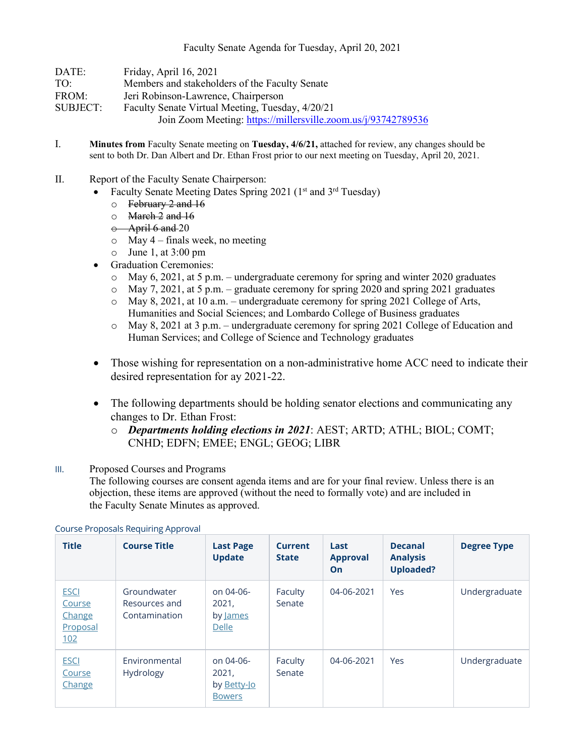| DATE:           | Friday, April 16, 2021                                        |
|-----------------|---------------------------------------------------------------|
| TO:             | Members and stakeholders of the Faculty Senate                |
| FROM:           | Jeri Robinson-Lawrence, Chairperson                           |
| <b>SUBJECT:</b> | Faculty Senate Virtual Meeting, Tuesday, 4/20/21              |
|                 | Join Zoom Meeting: https://millersville.zoom.us/j/93742789536 |
|                 |                                                               |

- I. **Minutes from** Faculty Senate meeting on **Tuesday, 4/6/21,** attached for review, any changes should be sent to both Dr. Dan Albert and Dr. Ethan Frost prior to our next meeting on Tuesday, April 20, 2021.
- II. Report of the Faculty Senate Chairperson:
	- Faculty Senate Meeting Dates Spring 2021 ( $1<sup>st</sup>$  and  $3<sup>rd</sup>$  Tuesday)
		- o February 2 and 16
		- o March 2 and 16
		- $\div$  April 6 and 20
		- $\circ$  May 4 finals week, no meeting
		- $\circ$  June 1, at 3:00 pm
	- Graduation Ceremonies:
		- $\circ$  May 6, 2021, at 5 p.m. undergraduate ceremony for spring and winter 2020 graduates
		- $\circ$  May 7, 2021, at 5 p.m. graduate ceremony for spring 2020 and spring 2021 graduates
		- o May 8, 2021, at 10 a.m. undergraduate ceremony for spring 2021 College of Arts, Humanities and Social Sciences; and Lombardo College of Business graduates
		- o May 8, 2021 at 3 p.m. undergraduate ceremony for spring 2021 College of Education and Human Services; and College of Science and Technology graduates
	- Those wishing for representation on a non-administrative home ACC need to indicate their desired representation for ay 2021-22.
	- The following departments should be holding senator elections and communicating any changes to Dr. Ethan Frost:
		- o *Departments holding elections in 2021*: AEST; ARTD; ATHL; BIOL; COMT; CNHD; EDFN; EMEE; ENGL; GEOG; LIBR

## III. Proposed Courses and Programs

The following courses are consent agenda items and are for your final review. Unless there is an objection, these items are approved (without the need to formally vote) and are included in the Faculty Senate Minutes as approved.

| <b>Title</b>                                       | <b>Course Title</b>                           | <b>Last Page</b><br><b>Update</b>                  | <b>Current</b><br><b>State</b> | Last<br><b>Approval</b><br>On | <b>Decanal</b><br><b>Analysis</b><br><b>Uploaded?</b> | <b>Degree Type</b> |
|----------------------------------------------------|-----------------------------------------------|----------------------------------------------------|--------------------------------|-------------------------------|-------------------------------------------------------|--------------------|
| <b>ESCI</b><br>Course<br>Change<br>Proposal<br>102 | Groundwater<br>Resources and<br>Contamination | on 04-06-<br>2021,<br>by James<br>Delle            | Faculty<br>Senate              | 04-06-2021                    | Yes                                                   | Undergraduate      |
| <b>ESCI</b><br>Course<br>Change                    | Environmental<br><b>Hydrology</b>             | on 04-06-<br>2021,<br>by Betty-Jo<br><b>Bowers</b> | Faculty<br>Senate              | 04-06-2021                    | Yes                                                   | Undergraduate      |

## Course Proposals Requiring Approval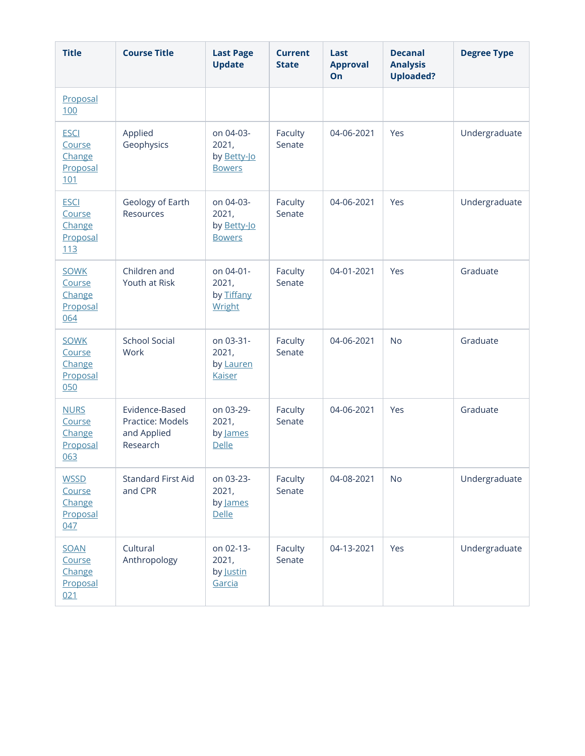| <b>Title</b>                                       | <b>Course Title</b>                                           | <b>Last Page</b><br><b>Update</b>                  | <b>Current</b><br><b>State</b> | Last<br><b>Approval</b><br>On | <b>Decanal</b><br><b>Analysis</b><br><b>Uploaded?</b> | <b>Degree Type</b> |
|----------------------------------------------------|---------------------------------------------------------------|----------------------------------------------------|--------------------------------|-------------------------------|-------------------------------------------------------|--------------------|
| Proposal<br>100                                    |                                                               |                                                    |                                |                               |                                                       |                    |
| <b>ESCI</b><br>Course<br>Change<br>Proposal<br>101 | Applied<br>Geophysics                                         | on 04-03-<br>2021,<br>by Betty-Jo<br><b>Bowers</b> | Faculty<br>Senate              | 04-06-2021                    | Yes                                                   | Undergraduate      |
| <b>ESCI</b><br>Course<br>Change<br>Proposal<br>113 | Geology of Earth<br>Resources                                 | on 04-03-<br>2021,<br>by Betty-Jo<br><b>Bowers</b> | Faculty<br>Senate              | 04-06-2021                    | Yes                                                   | Undergraduate      |
| <b>SOWK</b><br>Course<br>Change<br>Proposal<br>064 | Children and<br>Youth at Risk                                 | on 04-01-<br>2021,<br>by Tiffany<br>Wright         | Faculty<br>Senate              | 04-01-2021                    | Yes                                                   | Graduate           |
| <b>SOWK</b><br>Course<br>Change<br>Proposal<br>050 | <b>School Social</b><br>Work                                  | on 03-31-<br>2021,<br>by Lauren<br><b>Kaiser</b>   | Faculty<br>Senate              | 04-06-2021                    | <b>No</b>                                             | Graduate           |
| <b>NURS</b><br>Course<br>Change<br>Proposal<br>063 | Evidence-Based<br>Practice: Models<br>and Applied<br>Research | on 03-29-<br>2021,<br>by James<br>Delle            | Faculty<br>Senate              | 04-06-2021                    | Yes                                                   | Graduate           |
| <b>WSSD</b><br>Course<br>Change<br>Proposal<br>047 | <b>Standard First Aid</b><br>and CPR                          | on 03-23-<br>2021,<br>by James<br><b>Delle</b>     | Faculty<br>Senate              | 04-08-2021                    | <b>No</b>                                             | Undergraduate      |
| <b>SOAN</b><br>Course<br>Change<br>Proposal<br>021 | Cultural<br>Anthropology                                      | on 02-13-<br>2021,<br>by Justin<br>Garcia          | Faculty<br>Senate              | 04-13-2021                    | Yes                                                   | Undergraduate      |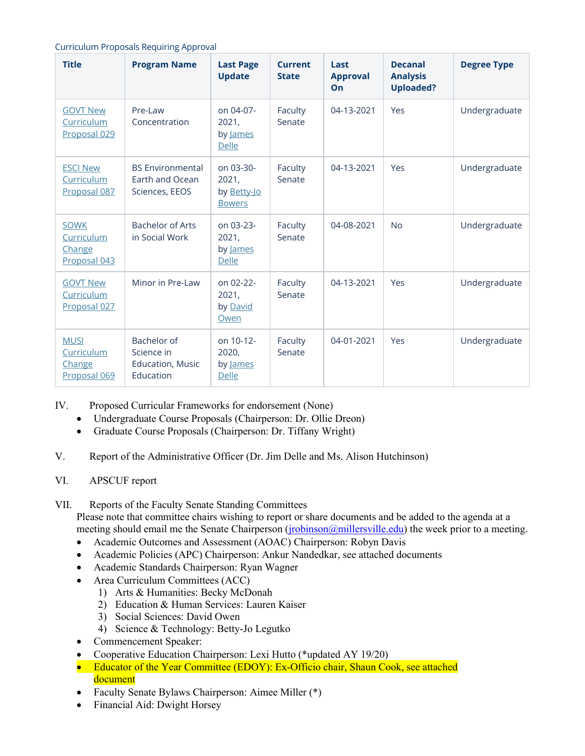| <b>Curriculum Proposals Requiring Approval</b> |  |  |
|------------------------------------------------|--|--|
|                                                |  |  |

| <b>Title</b>                                        | <b>Program Name</b>                                               | <b>Last Page</b><br><b>Update</b>                  | <b>Current</b><br><b>State</b> | Last<br><b>Approval</b><br>On | <b>Decanal</b><br><b>Analysis</b><br><b>Uploaded?</b> | <b>Degree Type</b> |
|-----------------------------------------------------|-------------------------------------------------------------------|----------------------------------------------------|--------------------------------|-------------------------------|-------------------------------------------------------|--------------------|
| <b>GOVT New</b><br>Curriculum<br>Proposal 029       | Pre-Law<br>Concentration                                          | on 04-07-<br>2021,<br>by James<br>Delle            | Faculty<br>Senate              | 04-13-2021                    | Yes                                                   | Undergraduate      |
| <b>ESCI New</b><br>Curriculum<br>Proposal 087       | <b>BS Environmental</b><br>Earth and Ocean<br>Sciences, EEOS      | on 03-30-<br>2021,<br>by Betty-Jo<br><b>Bowers</b> | Faculty<br>Senate              | 04-13-2021                    | Yes                                                   | Undergraduate      |
| <b>SOWK</b><br>Curriculum<br>Change<br>Proposal 043 | <b>Bachelor of Arts</b><br>in Social Work                         | on 03-23-<br>2021,<br>by James<br><b>Delle</b>     | Faculty<br>Senate              | 04-08-2021                    | <b>No</b>                                             | Undergraduate      |
| <b>GOVT New</b><br>Curriculum<br>Proposal 027       | Minor in Pre-Law                                                  | on 02-22-<br>2021,<br>by David<br>Owen             | Faculty<br>Senate              | 04-13-2021                    | Yes                                                   | Undergraduate      |
| <b>MUSI</b><br>Curriculum<br>Change<br>Proposal 069 | Bachelor of<br>Science in<br><b>Education, Music</b><br>Education | on 10-12-<br>2020,<br>by James<br>Delle            | Faculty<br>Senate              | 04-01-2021                    | Yes                                                   | Undergraduate      |

IV. Proposed Curricular Frameworks for endorsement (None)

- Undergraduate Course Proposals (Chairperson: Dr. Ollie Dreon)
- Graduate Course Proposals (Chairperson: Dr. Tiffany Wright)
- V. Report of the Administrative Officer (Dr. Jim Delle and Ms. Alison Hutchinson)
- VI. APSCUF report
- VII. Reports of the Faculty Senate Standing Committees

Please note that committee chairs wishing to report or share documents and be added to the agenda at a meeting should email me the Senate Chairperson (*jrobinson@millersville.edu*) the week prior to a meeting.

- Academic Outcomes and Assessment (AOAC) Chairperson: Robyn Davis
- Academic Policies (APC) Chairperson: Ankur Nandedkar, see attached documents
- Academic Standards Chairperson: Ryan Wagner
- Area Curriculum Committees (ACC)
	- 1) Arts & Humanities: Becky McDonah
		- 2) Education & Human Services: Lauren Kaiser
	- 3) Social Sciences: David Owen
	- 4) Science & Technology: Betty-Jo Legutko
- Commencement Speaker:
- Cooperative Education Chairperson: Lexi Hutto (\*updated AY 19/20)
- Educator of the Year Committee (EDOY): Ex-Officio chair, Shaun Cook, see attached document
- Faculty Senate Bylaws Chairperson: Aimee Miller (\*)
- Financial Aid: Dwight Horsey